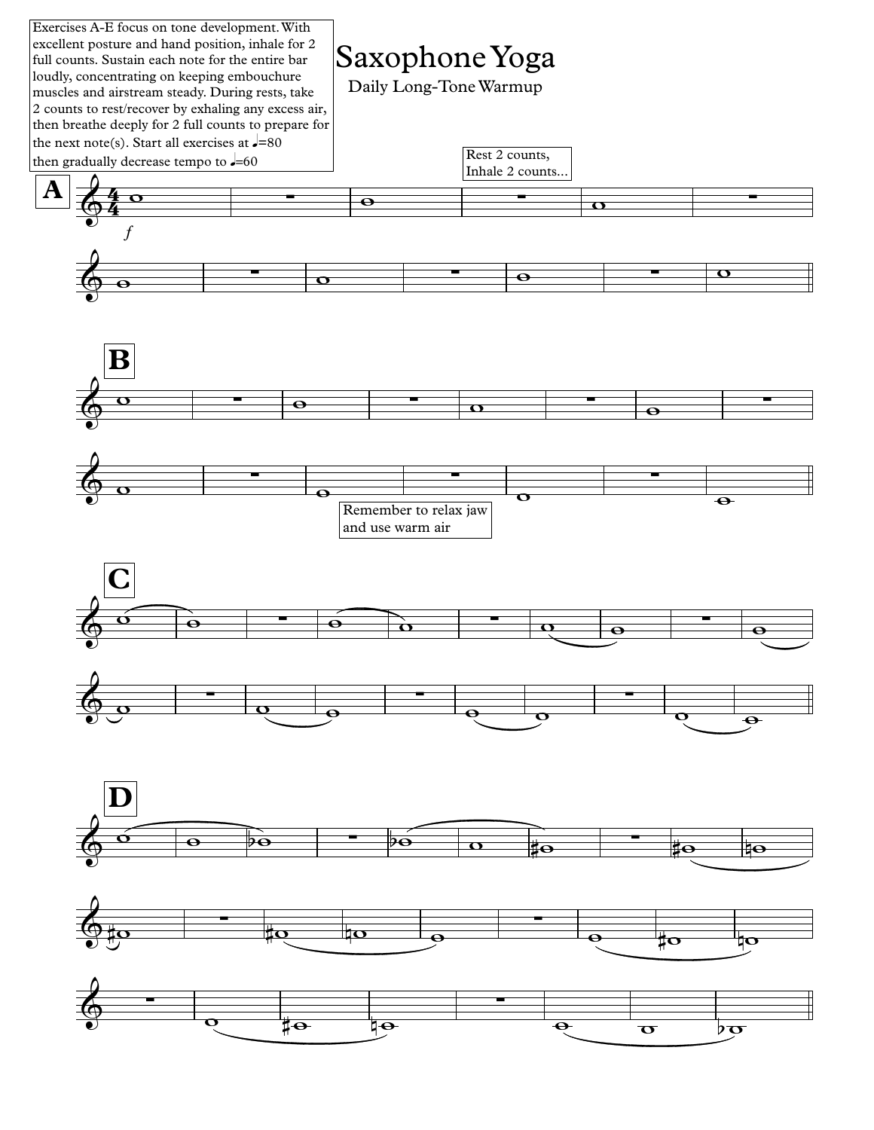